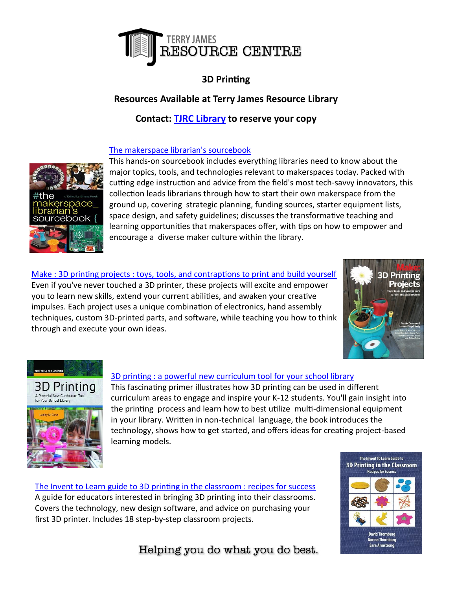

# **3D Printing**

## **Resources Available at Terry James Resource Library**

### **Contact: [TJRC Library](mailto:terryjames.library@ugdsb.on.ca?subject=3D%20print%20request) to reserve your copy**

#### [The makerspace librarian's sourcebook](http://elibrary.ugdsb.on.ca/uhtbin/cgisirsi.exe/x/TJR/0/5?searchdata1=9780838915042)



This hands-on sourcebook includes everything libraries need to know about the major topics, tools, and technologies relevant to makerspaces today. Packed with cutting edge instruction and advice from the field's most tech-savvy innovators, this collection leads librarians through how to start their own makerspace from the ground up, covering strategic planning, funding sources, starter equipment lists, space design, and safety guidelines; discusses the transformative teaching and learning opportunities that makerspaces offer, with tips on how to empower and encourage a diverse maker culture within the library.

[Make : 3D printing projects : toys, tools, and contraptions to print and build yourself](http://elibrary.ugdsb.on.ca/uhtbin/cgisirsi.exe/x/TJR/0/5?searchdata1=9781457187247) Even if you've never touched a 3D printer, these projects will excite and empower you to learn new skills, extend your current abilities, and awaken your creative impulses. Each project uses a unique combination of electronics, hand assembly techniques, custom 3D-printed parts, and software, while teaching you how to think through and execute your own ideas.





### [3D printing : a powerful new curriculum tool for your school library](http://elibrary.ugdsb.on.ca/uhtbin/cgisirsi.exe/x/TJR/0/5?searchdata1=9781610699778)

This fascinating primer illustrates how 3D printing can be used in different curriculum areas to engage and inspire your K-12 students. You'll gain insight into the printing process and learn how to best utilize multi-dimensional equipment in your library. Written in non-technical language, the book introduces the technology, shows how to get started, and offers ideas for creating project-based learning models.

The Invent to Learn guide to 3D printing in the classroom : recipes for success A guide for educators interested in bringing 3D printing into their classrooms. Covers the technology, new design software, and advice on purchasing your first 3D printer. Includes 18 step-by-step classroom projects.

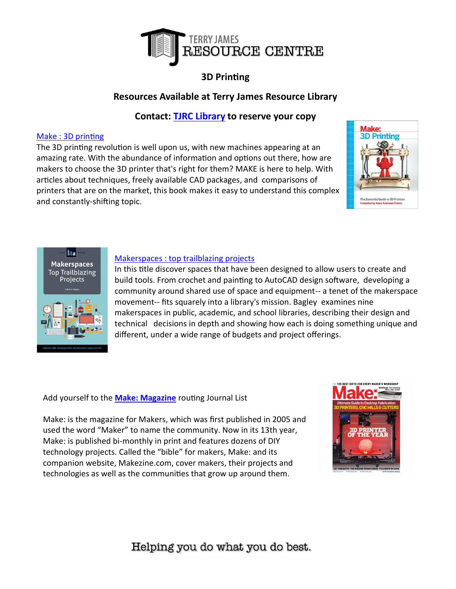

# **3D Printing**

### **Resources Available at Terry James Resource Library**

## **Contact: [TJRC Library](mailto:terryjames.library@ugdsb.on.ca?subject=3D%20print%20request) to reserve your copy**

#### [Make : 3D printing](http://elibrary.ugdsb.on.ca/uhtbin/cgisirsi.exe/x/TJR/0/5?searchdata1=9781457182938)

The 3D printing revolution is well upon us, with new machines appearing at an amazing rate. With the abundance of information and options out there, how are makers to choose the 3D printer that's right for them? MAKE is here to help. With articles about techniques, freely available CAD packages, and comparisons of printers that are on the market, this book makes it easy to understand this complex and constantly-shifting topic.





#### [Makerspaces : top trailblazing projects](http://elibrary.ugdsb.on.ca/uhtbin/cgisirsi.exe/x/TJR/0/5?searchdata1=9781555709907)

In this title discover spaces that have been designed to allow users to create and build tools. From crochet and painting to AutoCAD design software, developing a community around shared use of space and equipment-- a tenet of the makerspace movement-- fits squarely into a library's mission. Bagley examines nine makerspaces in public, academic, and school libraries, describing their design and technical decisions in depth and showing how each is doing something unique and different, under a wide range of budgets and project offerings.

Add yourself to the **[Make: Magazine](mailto:terryjames.library@ugdsb.on.ca?subject=Routing%20Journals)** routing Journal List

Make: is the magazine for Makers, which was first published in 2005 and used the word "Maker" to name the community. Now in its 13th year, Make: is published bi-monthly in print and features dozens of DIY technology projects. Called the "bible" for makers, Make: and its companion website, Makezine.com, cover makers, their projects and technologies as well as the communities that grow up around them.

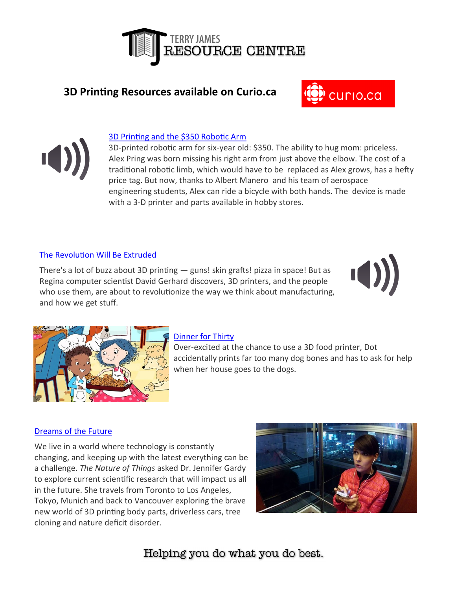

# **3D Printing Resources available on Curio.ca**



3D-printed robotic arm for six-year old: \$350. The ability to hug mom: priceless. Alex Pring was born missing his right arm from just above the elbow. The cost of a traditional robotic limb, which would have to be replaced as Alex grows, has a hefty price tag. But now, thanks to Albert Manero and his team of aerospace engineering students, Alex can ride a bicycle with both hands. The device is made with a 3-D printer and parts available in hobby stores.

#### [The Revolution Will Be Extruded](https://curio.ca/en/audio/the-revolution-will-be-extruded-4385/)

There's a lot of buzz about 3D printing — guns! skin grafts! pizza in space! But as Regina computer scientist David Gerhard discovers, 3D printers, and the people who use them, are about to revolutionize the way we think about manufacturing, and how we get stuff.





#### [Dinner for Thirty](https://curio.ca/en/video/dinner-for-thirty-15260/)

Over-excited at the chance to use a 3D food printer, Dot accidentally prints far too many dog bones and has to ask for help when her house goes to the dogs.

#### [Dreams of the Future](https://curio.ca/en/video/dreams-of-the-future-5944/)

We live in a world where technology is constantly changing, and keeping up with the latest everything can be a challenge. *The Nature of Things* asked Dr. Jennifer Gardy to explore current scientific research that will impact us all in the future. She travels from Toronto to Los Angeles, Tokyo, Munich and back to Vancouver exploring the brave new world of 3D printing body parts, driverless cars, tree cloning and nature deficit disorder.